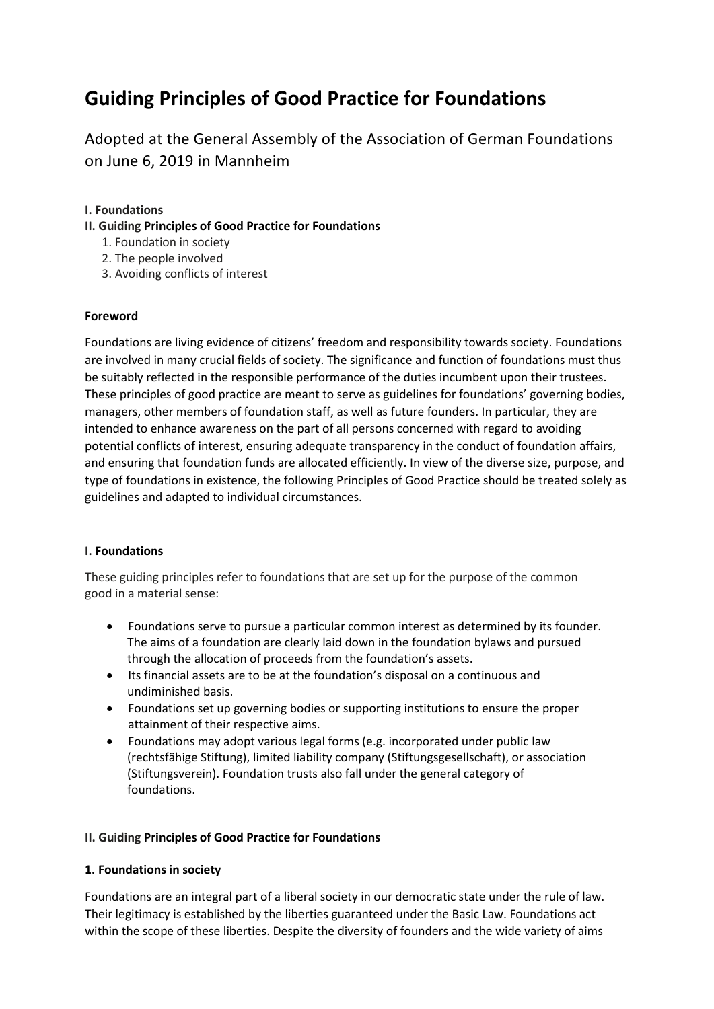# **Guiding Principles of Good Practice for Foundations**

Adopted at the General Assembly of the Association of German Foundations on June 6, 2019 in Mannheim

## **I. Foundations**

- **II. Guiding Principles of Good Practice for Foundations** 
	- 1. Foundation in society
	- 2. The people involved
	- 3. Avoiding conflicts of interest

### **Foreword**

Foundations are living evidence of citizens' freedom and responsibility towards society. Foundations are involved in many crucial fields of society. The significance and function of foundations must thus be suitably reflected in the responsible performance of the duties incumbent upon their trustees. These principles of good practice are meant to serve as guidelines for foundations' governing bodies, managers, other members of foundation staff, as well as future founders. In particular, they are intended to enhance awareness on the part of all persons concerned with regard to avoiding potential conflicts of interest, ensuring adequate transparency in the conduct of foundation affairs, and ensuring that foundation funds are allocated efficiently. In view of the diverse size, purpose, and type of foundations in existence, the following Principles of Good Practice should be treated solely as guidelines and adapted to individual circumstances.

#### **I. Foundations**

These guiding principles refer to foundations that are set up for the purpose of the common good in a material sense:

- Foundations serve to pursue a particular common interest as determined by its founder. The aims of a foundation are clearly laid down in the foundation bylaws and pursued through the allocation of proceeds from the foundation's assets.
- Its financial assets are to be at the foundation's disposal on a continuous and undiminished basis.
- Foundations set up governing bodies or supporting institutions to ensure the proper attainment of their respective aims.
- Foundations may adopt various legal forms (e.g. incorporated under public law (rechtsfähige Stiftung), limited liability company (Stiftungsgesellschaft), or association (Stiftungsverein). Foundation trusts also fall under the general category of foundations.

#### **II. Guiding Principles of Good Practice for Foundations**

#### **1. Foundations in society**

Foundations are an integral part of a liberal society in our democratic state under the rule of law. Their legitimacy is established by the liberties guaranteed under the Basic Law. Foundations act within the scope of these liberties. Despite the diversity of founders and the wide variety of aims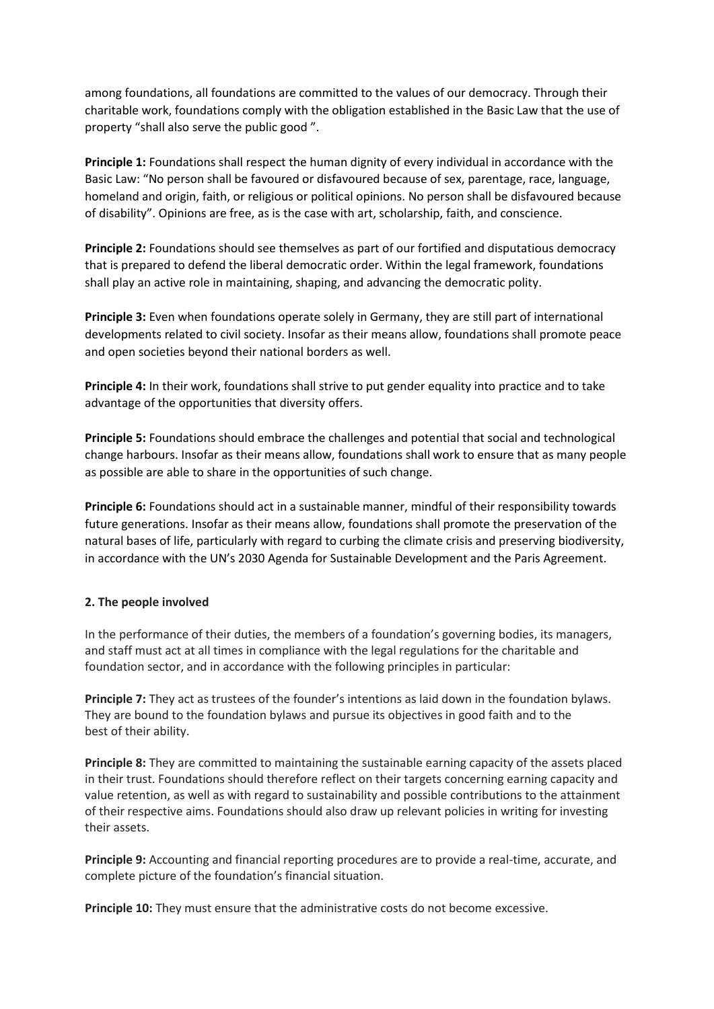among foundations, all foundations are committed to the values of our democracy. Through their charitable work, foundations comply with the obligation established in the Basic Law that the use of property "shall also serve the public good ".

**Principle 1:** Foundations shall respect the human dignity of every individual in accordance with the Basic Law: "No person shall be favoured or disfavoured because of sex, parentage, race, language, homeland and origin, faith, or religious or political opinions. No person shall be disfavoured because of disability". Opinions are free, as is the case with art, scholarship, faith, and conscience.

**Principle 2:** Foundations should see themselves as part of our fortified and disputatious democracy that is prepared to defend the liberal democratic order. Within the legal framework, foundations shall play an active role in maintaining, shaping, and advancing the democratic polity.

**Principle 3:** Even when foundations operate solely in Germany, they are still part of international developments related to civil society. Insofar as their means allow, foundations shall promote peace and open societies beyond their national borders as well.

**Principle 4:** In their work, foundations shall strive to put gender equality into practice and to take advantage of the opportunities that diversity offers.

**Principle 5:** Foundations should embrace the challenges and potential that social and technological change harbours. Insofar as their means allow, foundations shall work to ensure that as many people as possible are able to share in the opportunities of such change.

**Principle 6:** Foundations should act in a sustainable manner, mindful of their responsibility towards future generations. Insofar as their means allow, foundations shall promote the preservation of the natural bases of life, particularly with regard to curbing the climate crisis and preserving biodiversity, in accordance with the UN's 2030 Agenda for Sustainable Development and the Paris Agreement.

#### **2. The people involved**

In the performance of their duties, the members of a foundation's governing bodies, its managers, and staff must act at all times in compliance with the legal regulations for the charitable and foundation sector, and in accordance with the following principles in particular:

**Principle 7:** They act as trustees of the founder's intentions as laid down in the foundation bylaws. They are bound to the foundation bylaws and pursue its objectives in good faith and to the best of their ability.

**Principle 8:** They are committed to maintaining the sustainable earning capacity of the assets placed in their trust. Foundations should therefore reflect on their targets concerning earning capacity and value retention, as well as with regard to sustainability and possible contributions to the attainment of their respective aims. Foundations should also draw up relevant policies in writing for investing their assets.

**Principle 9:** Accounting and financial reporting procedures are to provide a real-time, accurate, and complete picture of the foundation's financial situation.

**Principle 10:** They must ensure that the administrative costs do not become excessive.